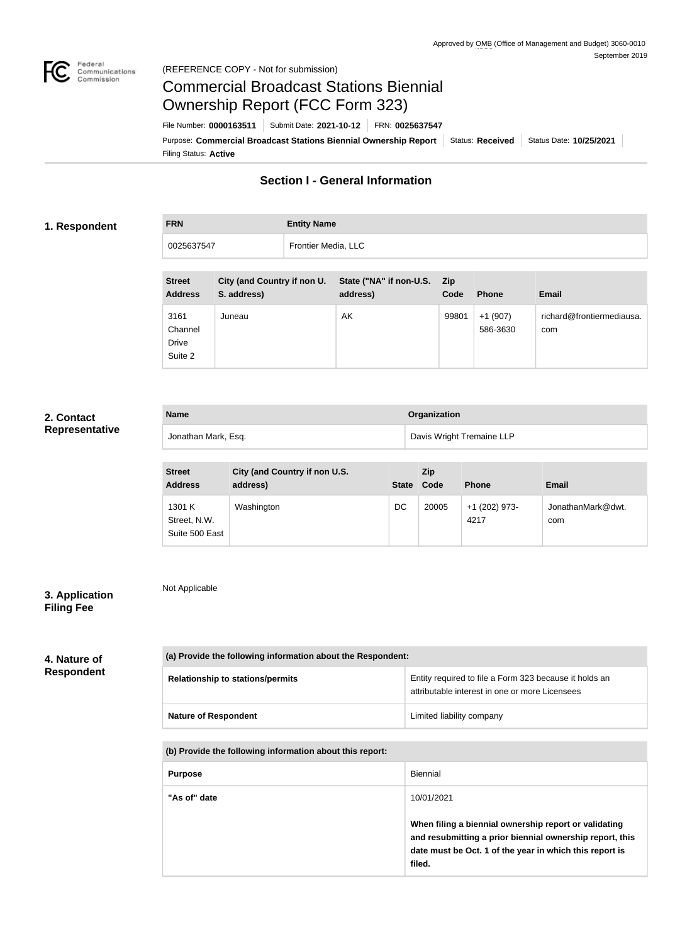

Not Applicable

## Commercial Broadcast Stations Biennial Ownership Report (FCC Form 323)

Filing Status: **Active** Purpose: Commercial Broadcast Stations Biennial Ownership Report Status: Received Status Date: 10/25/2021 File Number: **0000163511** Submit Date: **2021-10-12** FRN: **0025637547**

## **Section I - General Information**

#### **1. Respondent**

# **FRN Entity Name** 0025637547 Frontier Media, LLC

| <b>Street</b><br><b>Address</b>     | City (and Country if non U.<br>S. address) | State ("NA" if non-U.S.<br>address) | <b>Zip</b><br>Code | <b>Phone</b>          | <b>Email</b>                     |
|-------------------------------------|--------------------------------------------|-------------------------------------|--------------------|-----------------------|----------------------------------|
| 3161<br>Channel<br>Drive<br>Suite 2 | Juneau                                     | AK                                  | 99801              | $+1(907)$<br>586-3630 | richard@frontiermediausa.<br>com |

### **2. Contact Representative**

| <b>Name</b>         | <b>Organization</b>       |
|---------------------|---------------------------|
| Jonathan Mark, Esq. | Davis Wright Tremaine LLP |

| <b>Street</b><br><b>Address</b>          | City (and Country if non U.S.<br>address) | <b>State</b> | Zip<br>Code | <b>Phone</b>          | <b>Email</b>             |
|------------------------------------------|-------------------------------------------|--------------|-------------|-----------------------|--------------------------|
| 1301 K<br>Street, N.W.<br>Suite 500 East | Washington                                | DC           | 20005       | +1 (202) 973-<br>4217 | JonathanMark@dwt.<br>com |

### **3. Application Filing Fee**

## **4. Nature of Respondent**

| (a) Provide the following information about the Respondent: |                                                                                                          |  |  |
|-------------------------------------------------------------|----------------------------------------------------------------------------------------------------------|--|--|
| <b>Relationship to stations/permits</b>                     | Entity required to file a Form 323 because it holds an<br>attributable interest in one or more Licensees |  |  |
| <b>Nature of Respondent</b>                                 | Limited liability company                                                                                |  |  |

#### **(b) Provide the following information about this report:**

| <b>Purpose</b> | Biennial                                                                                                                                                                               |
|----------------|----------------------------------------------------------------------------------------------------------------------------------------------------------------------------------------|
| "As of" date   | 10/01/2021                                                                                                                                                                             |
|                | When filing a biennial ownership report or validating<br>and resubmitting a prior biennial ownership report, this<br>date must be Oct. 1 of the year in which this report is<br>filed. |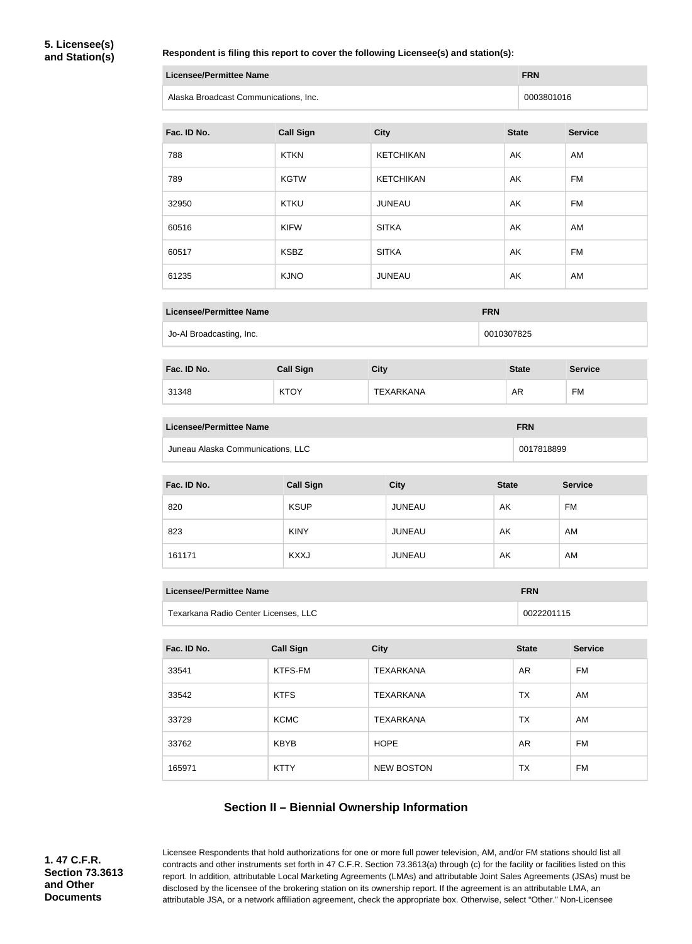#### **Respondent is filing this report to cover the following Licensee(s) and station(s):**

| Licensee/Permittee Name               | <b>FRN</b> |
|---------------------------------------|------------|
| Alaska Broadcast Communications, Inc. | 0003801016 |

| Fac. ID No. | <b>Call Sign</b> | <b>City</b>      | <b>State</b> | <b>Service</b> |
|-------------|------------------|------------------|--------------|----------------|
| 788         | <b>KTKN</b>      | <b>KETCHIKAN</b> | AK           | AM             |
| 789         | <b>KGTW</b>      | <b>KETCHIKAN</b> | AK           | FM             |
| 32950       | <b>KTKU</b>      | <b>JUNEAU</b>    | AK           | <b>FM</b>      |
| 60516       | <b>KIFW</b>      | <b>SITKA</b>     | AK           | AM             |
| 60517       | <b>KSBZ</b>      | <b>SITKA</b>     | AK           | <b>FM</b>      |
| 61235       | <b>KJNO</b>      | <b>JUNEAU</b>    | AK           | AM             |

| <b>Licensee/Permittee Name</b> | <b>FRN</b> |  |
|--------------------------------|------------|--|
| Jo-Al Broadcasting, Inc.       | 0010307825 |  |

| Fac. ID No. | <b>Call Sign</b> | City             | <b>State</b> | <b>Service</b> |
|-------------|------------------|------------------|--------------|----------------|
| 31348       | <b>KTOY</b>      | <b>TEXARKANA</b> | AR           | <b>FM</b>      |

| Licensee/Permittee Name           | <b>FRN</b> |
|-----------------------------------|------------|
| Juneau Alaska Communications, LLC | 0017818899 |

| Fac. ID No. | <b>Call Sign</b> | <b>City</b>   | <b>State</b> | <b>Service</b> |
|-------------|------------------|---------------|--------------|----------------|
| 820         | <b>KSUP</b>      | <b>JUNEAU</b> | AK           | FM             |
| 823         | <b>KINY</b>      | <b>JUNEAU</b> | AK           | AM             |
| 161171      | <b>KXXJ</b>      | <b>JUNEAU</b> | AK           | AM             |

| Licensee/Permittee Name              | <b>FRN</b> |
|--------------------------------------|------------|
| Texarkana Radio Center Licenses, LLC | 0022201115 |

| Fac. ID No. | <b>Call Sign</b> | <b>City</b>       | <b>State</b> | <b>Service</b> |
|-------------|------------------|-------------------|--------------|----------------|
| 33541       | KTFS-FM          | <b>TEXARKANA</b>  | AR           | FM             |
| 33542       | <b>KTFS</b>      | <b>TEXARKANA</b>  | ТX           | AM             |
| 33729       | <b>KCMC</b>      | <b>TEXARKANA</b>  | ТX           | AM             |
| 33762       | <b>KBYB</b>      | <b>HOPE</b>       | AR           | FM             |
| 165971      | <b>KTTY</b>      | <b>NEW BOSTON</b> | <b>TX</b>    | FM             |

## **Section II – Biennial Ownership Information**

**1. 47 C.F.R. Section 73.3613 and Other Documents**

Licensee Respondents that hold authorizations for one or more full power television, AM, and/or FM stations should list all contracts and other instruments set forth in 47 C.F.R. Section 73.3613(a) through (c) for the facility or facilities listed on this report. In addition, attributable Local Marketing Agreements (LMAs) and attributable Joint Sales Agreements (JSAs) must be disclosed by the licensee of the brokering station on its ownership report. If the agreement is an attributable LMA, an attributable JSA, or a network affiliation agreement, check the appropriate box. Otherwise, select "Other." Non-Licensee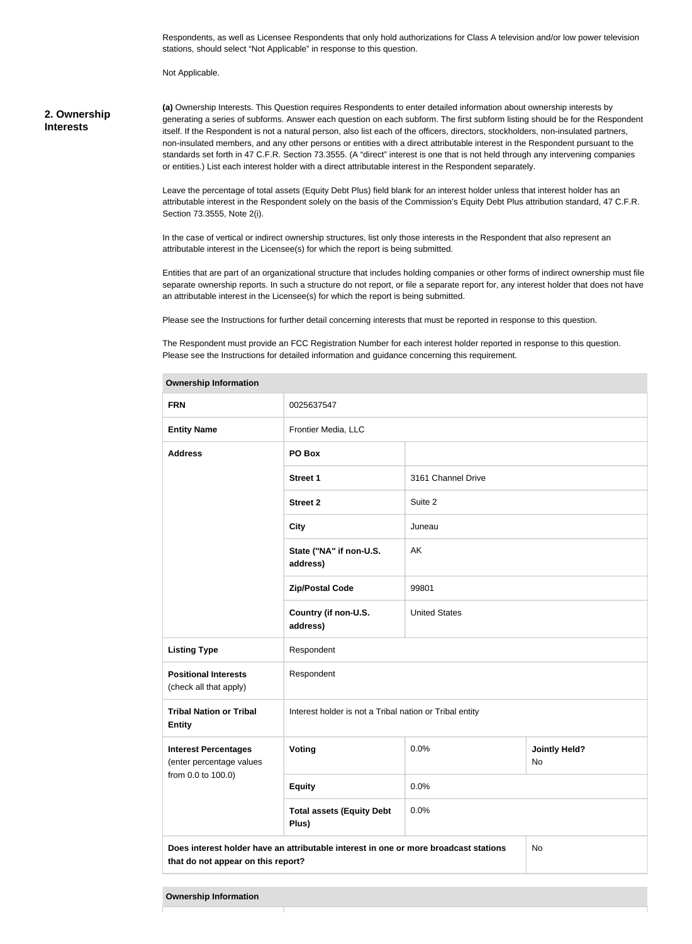Respondents, as well as Licensee Respondents that only hold authorizations for Class A television and/or low power television stations, should select "Not Applicable" in response to this question.

Not Applicable.

#### **2. Ownership Interests**

**(a)** Ownership Interests. This Question requires Respondents to enter detailed information about ownership interests by generating a series of subforms. Answer each question on each subform. The first subform listing should be for the Respondent itself. If the Respondent is not a natural person, also list each of the officers, directors, stockholders, non-insulated partners, non-insulated members, and any other persons or entities with a direct attributable interest in the Respondent pursuant to the standards set forth in 47 C.F.R. Section 73.3555. (A "direct" interest is one that is not held through any intervening companies or entities.) List each interest holder with a direct attributable interest in the Respondent separately.

Leave the percentage of total assets (Equity Debt Plus) field blank for an interest holder unless that interest holder has an attributable interest in the Respondent solely on the basis of the Commission's Equity Debt Plus attribution standard, 47 C.F.R. Section 73.3555, Note 2(i).

In the case of vertical or indirect ownership structures, list only those interests in the Respondent that also represent an attributable interest in the Licensee(s) for which the report is being submitted.

Entities that are part of an organizational structure that includes holding companies or other forms of indirect ownership must file separate ownership reports. In such a structure do not report, or file a separate report for, any interest holder that does not have an attributable interest in the Licensee(s) for which the report is being submitted.

Please see the Instructions for further detail concerning interests that must be reported in response to this question.

The Respondent must provide an FCC Registration Number for each interest holder reported in response to this question. Please see the Instructions for detailed information and guidance concerning this requirement.

| <b>Ownership Information</b>                                                                                                     |                                                         |                      |                            |
|----------------------------------------------------------------------------------------------------------------------------------|---------------------------------------------------------|----------------------|----------------------------|
| <b>FRN</b>                                                                                                                       | 0025637547                                              |                      |                            |
| <b>Entity Name</b>                                                                                                               | Frontier Media, LLC                                     |                      |                            |
| <b>Address</b>                                                                                                                   | PO Box                                                  |                      |                            |
|                                                                                                                                  | <b>Street 1</b>                                         | 3161 Channel Drive   |                            |
|                                                                                                                                  | <b>Street 2</b>                                         | Suite 2              |                            |
|                                                                                                                                  | <b>City</b>                                             | Juneau               |                            |
|                                                                                                                                  | State ("NA" if non-U.S.<br>address)                     | AK                   |                            |
|                                                                                                                                  | <b>Zip/Postal Code</b>                                  | 99801                |                            |
|                                                                                                                                  | Country (if non-U.S.<br>address)                        | <b>United States</b> |                            |
| <b>Listing Type</b>                                                                                                              | Respondent                                              |                      |                            |
| <b>Positional Interests</b><br>(check all that apply)                                                                            | Respondent                                              |                      |                            |
| <b>Tribal Nation or Tribal</b><br><b>Entity</b>                                                                                  | Interest holder is not a Tribal nation or Tribal entity |                      |                            |
| <b>Interest Percentages</b><br>(enter percentage values                                                                          | Voting                                                  | 0.0%                 | <b>Jointly Held?</b><br>No |
| from 0.0 to 100.0)                                                                                                               | <b>Equity</b>                                           | 0.0%                 |                            |
|                                                                                                                                  | <b>Total assets (Equity Debt</b><br>Plus)               | 0.0%                 |                            |
| Does interest holder have an attributable interest in one or more broadcast stations<br>No<br>that do not appear on this report? |                                                         |                      |                            |
|                                                                                                                                  |                                                         |                      |                            |

**Ownership Information**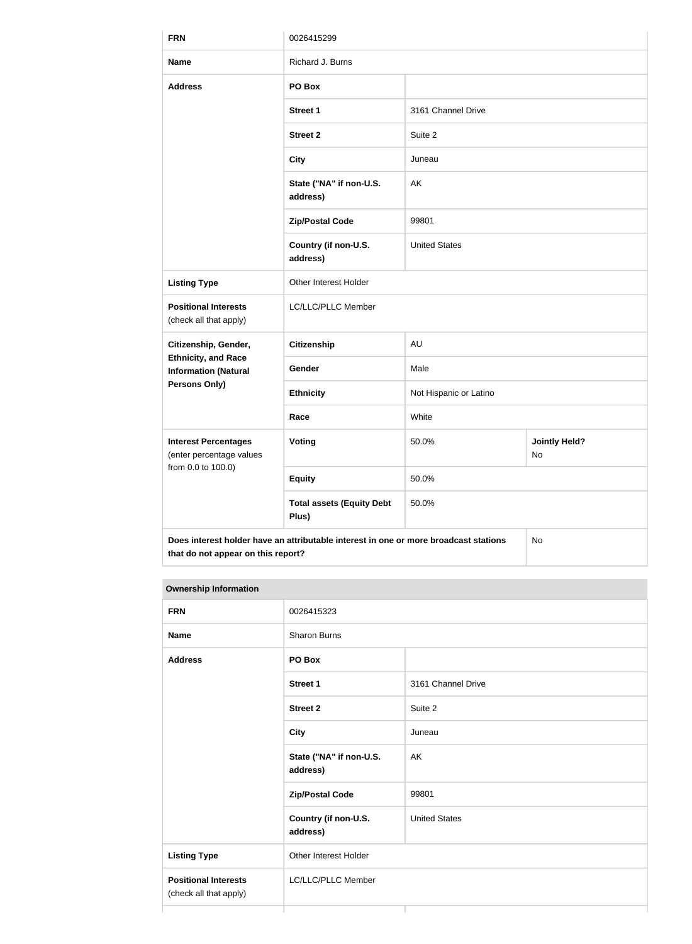| <b>FRN</b>                                                | 0026415299                                                                           |                        |                            |
|-----------------------------------------------------------|--------------------------------------------------------------------------------------|------------------------|----------------------------|
| <b>Name</b>                                               | Richard J. Burns                                                                     |                        |                            |
| <b>Address</b>                                            | PO Box                                                                               |                        |                            |
|                                                           | <b>Street 1</b>                                                                      | 3161 Channel Drive     |                            |
|                                                           | <b>Street 2</b>                                                                      | Suite 2                |                            |
|                                                           | <b>City</b>                                                                          | Juneau                 |                            |
|                                                           | State ("NA" if non-U.S.<br>address)                                                  | AK                     |                            |
|                                                           | <b>Zip/Postal Code</b>                                                               | 99801                  |                            |
|                                                           | Country (if non-U.S.<br>address)                                                     | <b>United States</b>   |                            |
| <b>Listing Type</b>                                       | Other Interest Holder                                                                |                        |                            |
| <b>Positional Interests</b><br>(check all that apply)     | LC/LLC/PLLC Member                                                                   |                        |                            |
| Citizenship, Gender,                                      | <b>Citizenship</b>                                                                   | AU                     |                            |
| <b>Ethnicity, and Race</b><br><b>Information (Natural</b> | Gender                                                                               | Male                   |                            |
| <b>Persons Only)</b>                                      | <b>Ethnicity</b>                                                                     | Not Hispanic or Latino |                            |
|                                                           | Race                                                                                 | White                  |                            |
| <b>Interest Percentages</b><br>(enter percentage values   | Voting                                                                               | 50.0%                  | <b>Jointly Held?</b><br>No |
| from 0.0 to 100.0)                                        | <b>Equity</b>                                                                        | 50.0%                  |                            |
|                                                           | <b>Total assets (Equity Debt</b><br>Plus)                                            | 50.0%                  |                            |
| that do not appear on this report?                        | Does interest holder have an attributable interest in one or more broadcast stations |                        | No                         |

| <b>FRN</b>                                            | 0026415323                          |                      |  |
|-------------------------------------------------------|-------------------------------------|----------------------|--|
| <b>Name</b>                                           | Sharon Burns                        |                      |  |
| <b>Address</b>                                        | PO Box                              |                      |  |
|                                                       | <b>Street 1</b>                     | 3161 Channel Drive   |  |
|                                                       | <b>Street 2</b>                     | Suite 2              |  |
|                                                       | <b>City</b>                         | Juneau               |  |
|                                                       | State ("NA" if non-U.S.<br>address) | AK                   |  |
|                                                       | <b>Zip/Postal Code</b>              | 99801                |  |
|                                                       | Country (if non-U.S.<br>address)    | <b>United States</b> |  |
| <b>Listing Type</b>                                   | Other Interest Holder               |                      |  |
| <b>Positional Interests</b><br>(check all that apply) | LC/LLC/PLLC Member                  |                      |  |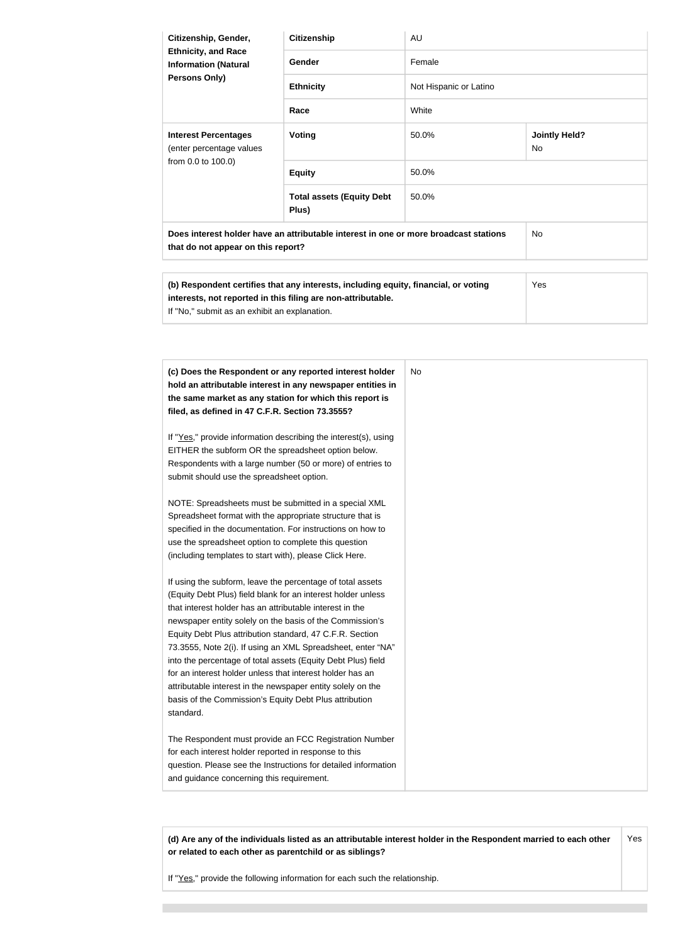| Citizenship, Gender,<br><b>Ethnicity, and Race</b><br><b>Information (Natural</b>                                          | <b>Citizenship</b>                                                                                               | AU                     |                                   |
|----------------------------------------------------------------------------------------------------------------------------|------------------------------------------------------------------------------------------------------------------|------------------------|-----------------------------------|
|                                                                                                                            | Gender                                                                                                           | Female                 |                                   |
| Persons Only)                                                                                                              | <b>Ethnicity</b>                                                                                                 | Not Hispanic or Latino |                                   |
|                                                                                                                            | Race                                                                                                             | White                  |                                   |
| <b>Interest Percentages</b><br>(enter percentage values                                                                    | Voting                                                                                                           | 50.0%                  | <b>Jointly Held?</b><br><b>No</b> |
| from 0.0 to 100.0)                                                                                                         | <b>Equity</b>                                                                                                    | 50.0%                  |                                   |
|                                                                                                                            | <b>Total assets (Equity Debt</b><br>Plus)                                                                        | 50.0%                  |                                   |
| Does interest holder have an attributable interest in one or more broadcast stations<br>that do not appear on this report? |                                                                                                                  |                        | <b>No</b>                         |
|                                                                                                                            |                                                                                                                  |                        |                                   |
|                                                                                                                            | ALLA PRODUCTION CONTACT AND ALLA CONTACT AND ACTIVITY OF THE CONTACT AND ACTIVITY OF THE CONTACT AND A REPORT OF |                        | $\sqrt{ }$                        |

| (b) Respondent certifies that any interests, including equity, financial, or voting | Yes |
|-------------------------------------------------------------------------------------|-----|
| interests, not reported in this filing are non-attributable.                        |     |
| If "No," submit as an exhibit an explanation.                                       |     |

| (c) Does the Respondent or any reported interest holder<br>hold an attributable interest in any newspaper entities in<br>the same market as any station for which this report is<br>filed, as defined in 47 C.F.R. Section 73.3555? | No |
|-------------------------------------------------------------------------------------------------------------------------------------------------------------------------------------------------------------------------------------|----|
| If "Yes," provide information describing the interest(s), using                                                                                                                                                                     |    |
| EITHER the subform OR the spreadsheet option below.<br>Respondents with a large number (50 or more) of entries to                                                                                                                   |    |
| submit should use the spreadsheet option.                                                                                                                                                                                           |    |
| NOTE: Spreadsheets must be submitted in a special XML                                                                                                                                                                               |    |
| Spreadsheet format with the appropriate structure that is                                                                                                                                                                           |    |
| specified in the documentation. For instructions on how to                                                                                                                                                                          |    |
| use the spreadsheet option to complete this question                                                                                                                                                                                |    |
| (including templates to start with), please Click Here.                                                                                                                                                                             |    |
| If using the subform, leave the percentage of total assets                                                                                                                                                                          |    |
| (Equity Debt Plus) field blank for an interest holder unless                                                                                                                                                                        |    |
| that interest holder has an attributable interest in the                                                                                                                                                                            |    |
| newspaper entity solely on the basis of the Commission's                                                                                                                                                                            |    |
| Equity Debt Plus attribution standard, 47 C.F.R. Section                                                                                                                                                                            |    |
| 73.3555, Note 2(i). If using an XML Spreadsheet, enter "NA"                                                                                                                                                                         |    |
| into the percentage of total assets (Equity Debt Plus) field                                                                                                                                                                        |    |
| for an interest holder unless that interest holder has an                                                                                                                                                                           |    |
| attributable interest in the newspaper entity solely on the                                                                                                                                                                         |    |
| basis of the Commission's Equity Debt Plus attribution                                                                                                                                                                              |    |
| standard.                                                                                                                                                                                                                           |    |
| The Respondent must provide an FCC Registration Number                                                                                                                                                                              |    |
| for each interest holder reported in response to this                                                                                                                                                                               |    |
| question. Please see the Instructions for detailed information                                                                                                                                                                      |    |
| and guidance concerning this requirement.                                                                                                                                                                                           |    |

**(d) Are any of the individuals listed as an attributable interest holder in the Respondent married to each other or related to each other as parentchild or as siblings?** Yes

If "Yes," provide the following information for each such the relationship.